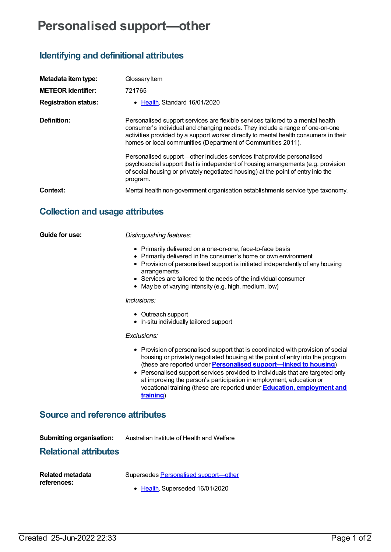# **Personalised support—other**

# **Identifying and definitional attributes**

| Metadata item type:<br><b>METEOR identifier:</b><br><b>Registration status:</b> | Glossary Item<br>721765<br>• Health Standard 16/01/2020                                                                                                                                                                                                                                                                                                                                                                                                                                                                                                                                |
|---------------------------------------------------------------------------------|----------------------------------------------------------------------------------------------------------------------------------------------------------------------------------------------------------------------------------------------------------------------------------------------------------------------------------------------------------------------------------------------------------------------------------------------------------------------------------------------------------------------------------------------------------------------------------------|
| Definition:                                                                     | Personalised support services are flexible services tailored to a mental health<br>consumer's individual and changing needs. They include a range of one-on-one<br>activities provided by a support worker directly to mental health consumers in their<br>homes or local communities (Department of Communities 2011).<br>Personalised support—other includes services that provide personalised<br>psychosocial support that is independent of housing arrangements (e.g. provision<br>of social housing or privately negotiated housing) at the point of entry into the<br>program. |
| Context:                                                                        | Mental health non-government organisation establishments service type taxonomy.                                                                                                                                                                                                                                                                                                                                                                                                                                                                                                        |

## **Collection and usage attributes**

**Guide for use:** *Distinguishing features:*

- Primarily delivered on a one-on-one, face-to-face basis
- Primarily delivered in the consumer's home or own environment
- Provision of personalised support is initiated independently of any housing arrangements
- Services are tailored to the needs of the individual consumer
- May be of varying intensity (e.g. high, medium, low)

#### *Inclusions:*

- Outreach support
- In-situ individually tailored support

#### *Exclusions:*

- Provision of personalised support that is coordinated with provision of social housing or privately negotiated housing at the point of entry into the program (these are reported under **Personalised [support—linked](https://meteor.aihw.gov.au/content/721763) to housing**)
- Personalised support services provided to individuals that are targeted only at improving the person's participation in employment, education or vocational training (these are reported under **Education, [employment](https://meteor.aihw.gov.au/content/721777) and training**)

### **Source and reference attributes**

**Submitting organisation:** Australian Institute of Health and Welfare

### **Relational attributes**

| Related metadata |
|------------------|
| references:      |

Supersedes Personalised [support—other](https://meteor.aihw.gov.au/content/494976)

• [Health](https://meteor.aihw.gov.au/RegistrationAuthority/12), Superseded 16/01/2020